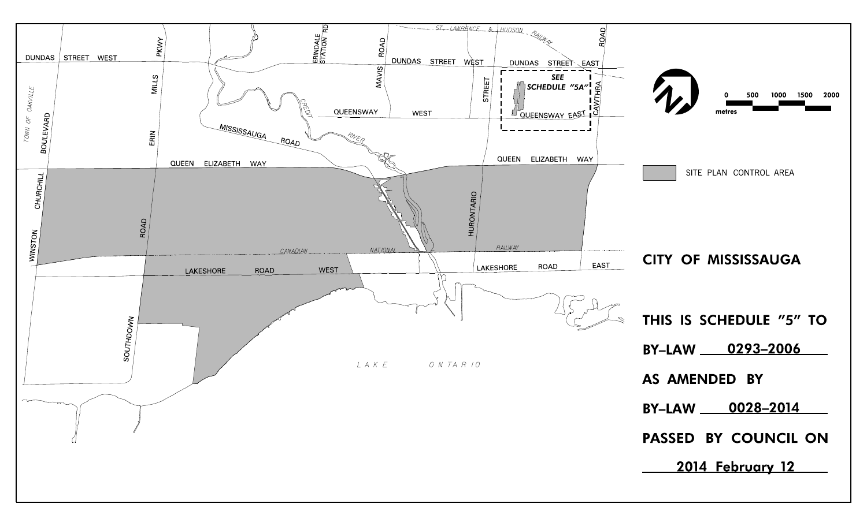